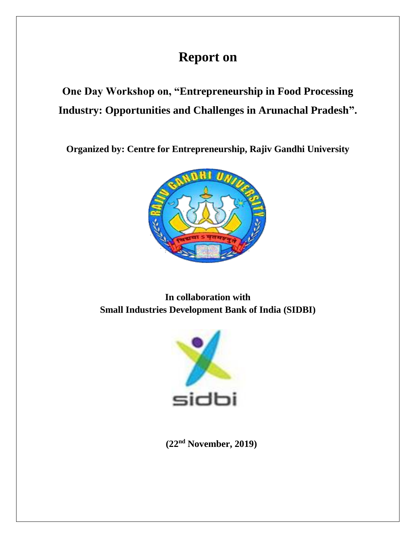## **Report on**

**One Day Workshop on, "Entrepreneurship in Food Processing Industry: Opportunities and Challenges in Arunachal Pradesh".**

**Organized by: Centre for Entrepreneurship, Rajiv Gandhi University**



**In collaboration with Small Industries Development Bank of India (SIDBI)**



 **(22nd November, 2019)**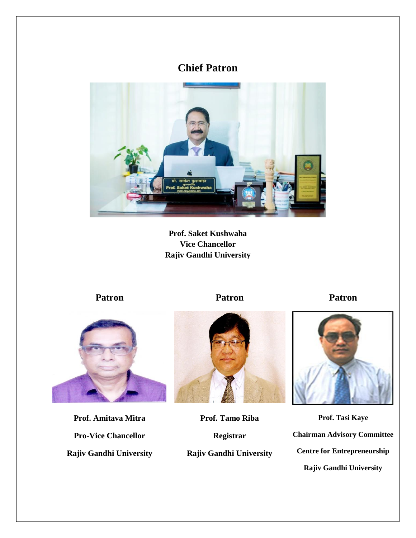## **Chief Patron**



**Prof. Saket Kushwaha Vice Chancellor Rajiv Gandhi University**

**Patron Patron Patron**



**Prof. Amitava Mitra Pro-Vice Chancellor Rajiv Gandhi University**



**Prof. Tamo Riba Registrar Rajiv Gandhi University**



**Prof. Tasi Kaye Chairman Advisory Committee Centre for Entrepreneurship Rajiv Gandhi University**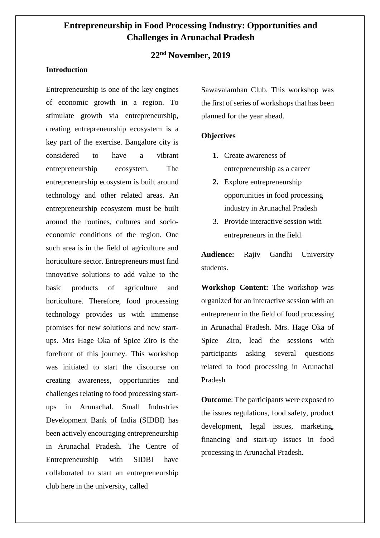### **Entrepreneurship in Food Processing Industry: Opportunities and Challenges in Arunachal Pradesh**

### **22nd November, 2019**

#### **Introduction**

Entrepreneurship is one of the key engines of economic growth in a region. To stimulate growth via entrepreneurship, creating entrepreneurship ecosystem is a key part of the exercise. Bangalore city is considered to have a vibrant entrepreneurship ecosystem. The entrepreneurship ecosystem is built around technology and other related areas. An entrepreneurship ecosystem must be built around the routines, cultures and socioeconomic conditions of the region. One such area is in the field of agriculture and horticulture sector. Entrepreneurs must find innovative solutions to add value to the basic products of agriculture and horticulture. Therefore, food processing technology provides us with immense promises for new solutions and new startups. Mrs Hage Oka of Spice Ziro is the forefront of this journey. This workshop was initiated to start the discourse on creating awareness, opportunities and challenges relating to food processing startups in Arunachal. Small Industries Development Bank of India (SIDBI) has been actively encouraging entrepreneurship in Arunachal Pradesh. The Centre of Entrepreneurship with SIDBI have collaborated to start an entrepreneurship club here in the university, called

Sawavalamban Club. This workshop was the first of series of workshops that has been planned for the year ahead.

#### **Objectives**

- **1.** Create awareness of entrepreneurship as a career
- **2.** Explore entrepreneurship opportunities in food processing industry in Arunachal Pradesh
- 3. Provide interactive session with entrepreneurs in the field.

**Audience:** Rajiv Gandhi University students.

**Workshop Content:** The workshop was organized for an interactive session with an entrepreneur in the field of food processing in Arunachal Pradesh. Mrs. Hage Oka of Spice Ziro, lead the sessions with participants asking several questions related to food processing in Arunachal Pradesh

**Outcome**: The participants were exposed to the issues regulations, food safety, product development, legal issues, marketing, financing and start-up issues in food processing in Arunachal Pradesh.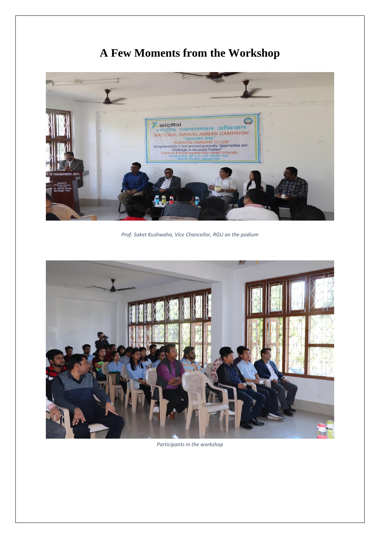# **A Few Moments from the Workshop**



*Prof. Saket Kushwaha, Vice Chancellor, RGU on the podium*



*Participants in the workshop*